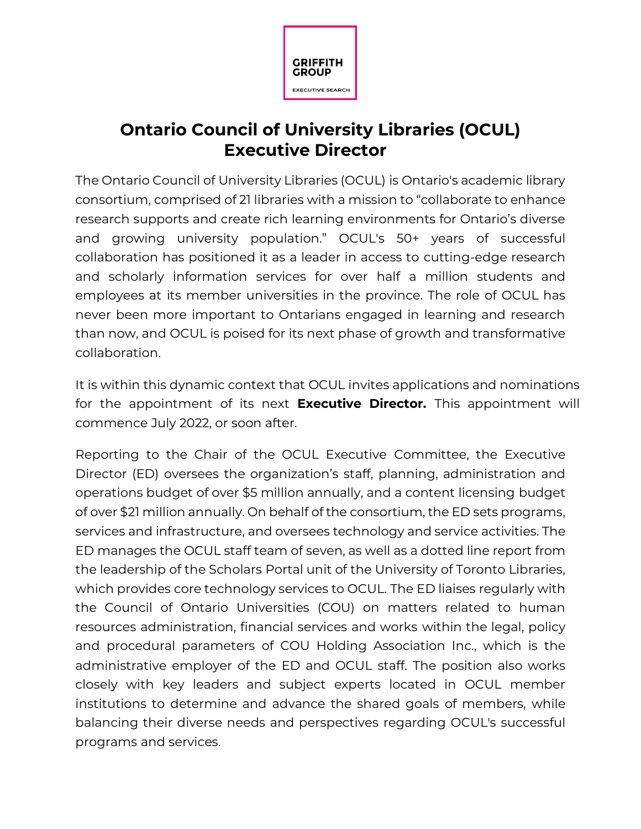

## **Ontario Council of University Libraries (OCUL) Executive Director**

The Ontario Council of University Libraries (OCUL) is Ontario's academic library consortium, comprised of 21 libraries with a mission to "collaborate to enhance research supports and create rich learning environments for Ontario's diverse and growing university population." OCUL's 50+ years of successful collaboration has positioned it as a leader in access to cutting-edge research and scholarly information services for over half a million students and employees at its member universities in the province. The role of OCUL has never been more important to Ontarians engaged in learning and research than now, and OCUL is poised for its next phase of growth and transformative collaboration.

It is within this dynamic context that OCUL invites applications and nominations for the appointment of its next **Executive Director.** This appointment will commence July 2022, or soon after.

Reporting to the Chair of the OCUL Executive Committee, the Executive Director (ED) oversees the organization's staff, planning, administration and operations budget of over \$5 million annually, and a content licensing budget of over \$21 million annually. On behalf of the consortium, the ED sets programs, services and infrastructure, and oversees technology and service activities. The ED manages the OCUL staff team of seven, as well as a dotted line report from the leadership of the Scholars Portal unit of the University of Toronto Libraries, which provides core technology services to OCUL. The ED liaises regularly with the Council of Ontario Universities (COU) on matters related to human resources administration, financial services and works within the legal, policy and procedural parameters of COU Holding Association Inc., which is the administrative employer of the ED and OCUL staff. The position also works closely with key leaders and subject experts located in OCUL member institutions to determine and advance the shared goals of members, while balancing their diverse needs and perspectives regarding OCUL's successful programs and services.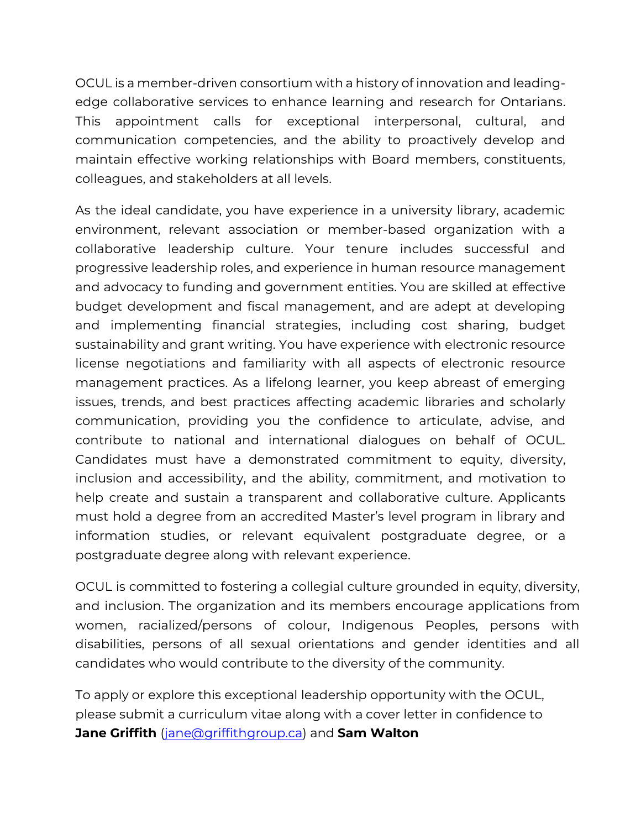OCUL is a member-driven consortium with a history of innovation and leadingedge collaborative services to enhance learning and research for Ontarians. This appointment calls for exceptional interpersonal, cultural, and communication competencies, and the ability to proactively develop and maintain effective working relationships with Board members, constituents, colleagues, and stakeholders at all levels.

As the ideal candidate, you have experience in a university library, academic environment, relevant association or member-based organization with a collaborative leadership culture. Your tenure includes successful and progressive leadership roles, and experience in human resource management and advocacy to funding and government entities. You are skilled at effective budget development and fiscal management, and are adept at developing and implementing financial strategies, including cost sharing, budget sustainability and grant writing. You have experience with electronic resource license negotiations and familiarity with all aspects of electronic resource management practices. As a lifelong learner, you keep abreast of emerging issues, trends, and best practices affecting academic libraries and scholarly communication, providing you the confidence to articulate, advise, and contribute to national and international dialogues on behalf of OCUL. Candidates must have a demonstrated commitment to equity, diversity, inclusion and accessibility, and the ability, commitment, and motivation to help create and sustain a transparent and collaborative culture. Applicants must hold a degree from an accredited Master's level program in library and information studies, or relevant equivalent postgraduate degree, or a postgraduate degree along with relevant experience.

OCUL is committed to fostering a collegial culture grounded in equity, diversity, and inclusion. The organization and its members encourage applications from women, racialized/persons of colour, Indigenous Peoples, persons with disabilities, persons of all sexual orientations and gender identities and all candidates who would contribute to the diversity of the community.

To apply or explore this exceptional leadership opportunity with the OCUL, please submit a curriculum vitae along with a cover letter in confidence to **Jane Griffith** [\(jane@griffithgroup.ca\)](mailto:jane@griffithgroup.ca) and **Sam Walton**